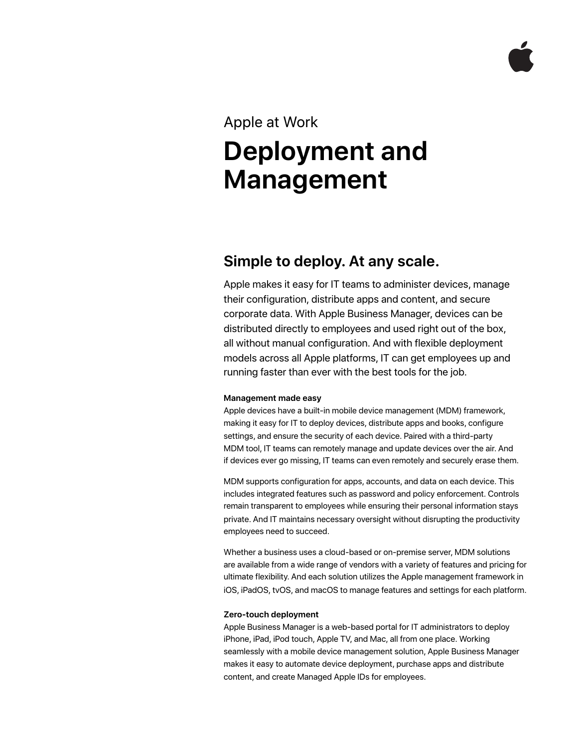### Apple at Work

# **Deployment and Management**

## **Simple to deploy. At any scale.**

Apple makes it easy for IT teams to administer devices, manage their configuration, distribute apps and content, and secure corporate data. With Apple Business Manager, devices can be distributed directly to employees and used right out of the box, all without manual configuration. And with flexible deployment models across all Apple platforms, IT can get employees up and running faster than ever with the best tools for the job.

#### **Management made easy**

Apple devices have a built-in mobile device management (MDM) framework, making it easy for IT to deploy devices, distribute apps and books, configure settings, and ensure the security of each device. Paired with a third-party MDM tool, IT teams can remotely manage and update devices over the air. And if devices ever go missing, IT teams can even remotely and securely erase them.

MDM supports configuration for apps, accounts, and data on each device. This includes integrated features such as password and policy enforcement. Controls remain transparent to employees while ensuring their personal information stays private. And IT maintains necessary oversight without disrupting the productivity employees need to succeed.

Whether a business uses a cloud-based or on-premise server, MDM solutions are available from a wide range of vendors with a variety of features and pricing for ultimate flexibility. And each solution utilizes the Apple management framework in iOS, iPadOS, tvOS, and macOS to manage features and settings for each platform.

#### **Zero-touch deployment**

Apple Business Manager is a web-based portal for IT administrators to deploy iPhone, iPad, iPod touch, Apple TV, and Mac, all from one place. Working seamlessly with a mobile device management solution, Apple Business Manager makes it easy to automate device deployment, purchase apps and distribute content, and create Managed Apple IDs for employees.